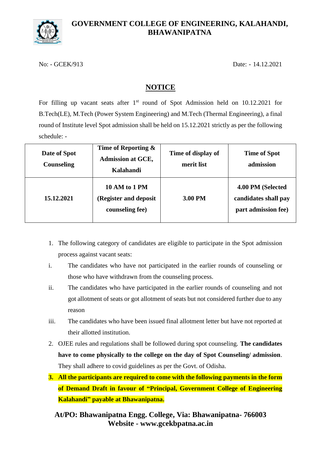

## **GOVERNMENT COLLEGE OF ENGINEERING, KALAHANDI, BHAWANIPATNA**

No: - GCEK/913 Date: - 14.12.2021

## **NOTICE**

For filling up vacant seats after 1<sup>st</sup> round of Spot Admission held on 10.12.2021 for B.Tech(LE), M.Tech (Power System Engineering) and M.Tech (Thermal Engineering), a final round of Institute level Spot admission shall be held on 15.12.2021 strictly as per the following schedule: -

| Date of Spot<br>Counseling | Time of Reporting $\&$<br><b>Admission at GCE,</b><br>Kalahandi | Time of display of<br>merit list | <b>Time of Spot</b><br>admission                                 |
|----------------------------|-----------------------------------------------------------------|----------------------------------|------------------------------------------------------------------|
| 15.12.2021                 | 10 AM to 1 PM<br>(Register and deposit)<br>counseling fee)      | 3.00 PM                          | 4.00 PM (Selected<br>candidates shall pay<br>part admission fee) |

- 1. The following category of candidates are eligible to participate in the Spot admission process against vacant seats:
- i. The candidates who have not participated in the earlier rounds of counseling or those who have withdrawn from the counseling process.
- ii. The candidates who have participated in the earlier rounds of counseling and not got allotment of seats or got allotment of seats but not considered further due to any reason
- iii. The candidates who have been issued final allotment letter but have not reported at their allotted institution.
- 2. OJEE rules and regulations shall be followed during spot counseling. **The candidates have to come physically to the college on the day of Spot Counseling/ admission**. They shall adhere to covid guidelines as per the Govt. of Odisha.
- **3. All the participants are required to come with the following payments in the form of Demand Draft in favour of "Principal, Government College of Engineering Kalahandi" payable at Bhawanipatna.**

**At/PO: Bhawanipatna Engg. College, Via: Bhawanipatna- 766003 Website - www.gcekbpatna.ac.in**